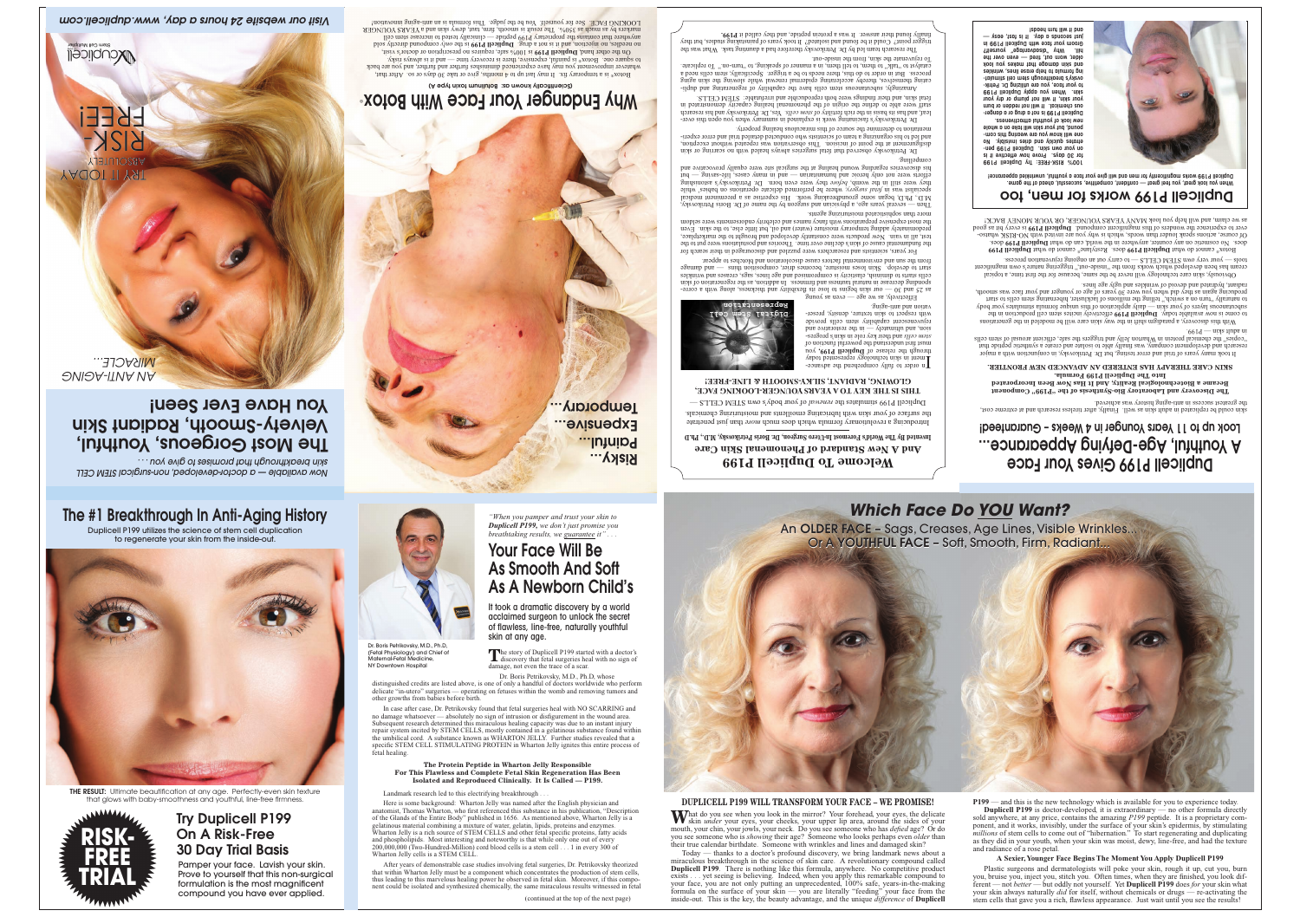Prove to yourself that this non-surgical formulation is the most magnificent compound you have ever applied.

# The Most Gorgeous, Youthful, Velvety-Smooth, Radiant Skin You Have Ever Seen!

*Now available — a doctor-developed, non-surgical STEM CELL skin breakthrough that promises to give you . . .*

ABSOLUTELY

RISK-

FREE!

Wouplicell

*Visit our website 24 hours a day, www.duplicell.com*

# *Which Face Do YOU Want?*

## **And A New Standard of Phenomenal Skin Care Invented By The World's Foremost In-Utero Surgeon, Dr. Boris Petrikovsky, M.D., Ph.D**

What do you see when you look in the mirror? Your forehead, your eyes, the delicate skin *under* your eyes, your cheeks, your upper lip area, around the sides of your mouth, your chin, your jowls, your neck. Do you see someone who has *defied* age? Or do you see someone who is *showing* their age? Someone who looks perhaps even *older* than their true calendar birthdate. Someone with wrinkles and lines and damaged skin?







# An OLDER FACE - Sags, Creases, Age Lines, Visible Wrinkles... Or A YOUTHFUL FACE – Soft, Smooth, Firm, Radiant... **ORTA THE YOUT HIS SAMUL FRACE – SOFT AN OUTHFUL FACE – Soft, Smooth, Firm, Radiant...**<br>Which Face Do <u>YOU</u> Want?<br>Or A YOUTHFUL FACE – Soft, Smooth, Firm, Radiant...

In order to fully comprehend the advancement in skin technology represented today through the release of Duplicell P199, you must first understand the powerful function of sion, and ultimately  $-$  in the restorative and rejuvenescent capability stem cells provide

 $Fff$ ctively, as we age — even as young as 25 and 30 — our skin begins to lose its flexibility and thickness, along with a corresponding decrease in natural tautness and firmness. In addition, as the regeneration of skin

Today — thanks to a doctor's profound discovery, we bring landmark news about a miraculous breakthrough in the science of skin care. A revolutionary compound called **Duplicell P199**. There is nothing like this formula, anywhere. No competitive product exists . . . yet seeing is believing. Indeed, when you apply this remarkable compound to your face, you are not only putting an unprecedented, 100% safe, years-in-the-making formula on the surface of your skin — you are literally "feeding" your face from the inside-out. This is the key, the beauty advantage, and the unique *difference* of **Duplicell**

### **P199** — and this is the new technology which is available for you to experience today. **Duplicell P199** is doctor-developed, it is extraordinary — no other formula directly sold anywhere, at any price, contains the amazing *P199* peptide. It is a proprietary component, and it works, invisibly, under the surface of your skin's epidermis, by stimulating *millions* of stem cells to come out of "hibernation." To start regenerating and duplicating as they did in your youth, when your skin was moist, dewy, line-free, and had the texture

. Petrikovsky observed that fetal surgeries always healed with no scarring or skin Dr disfigurement at the point of incision. This observation was repeated without exception, and led to his organizing a team of scientists who conducted detailed trial and error experi-

### - . Petrikovsky's fascinating work is explained in summary when you open this over Dr leaf, and has its basis in the rich fertility of stem cells. Next, Dr. Petrikovsky and his research staff were able to define the origin of the phenomenal healing capacity demonstrated in Amazing subcutaneous stem cells have the capability of regenerating and dupli-

and radiance of a rose petal.

### **A Sexier, Younger Face Begins The Moment You Apply Duplicell P199**

Plastic surgeons and dermatologists will poke your skin, rough it up, cut you, burn you, bruise you, inject you, stitch you. Often times, when they are finished, you look different — not *better* — but oddly not yourself. Yet **Duplicell P199** does *for* your skin what your skin always naturally *did* for itself, without chemicals or drugs — re-activating the stem cells that gave you a rich, flawless appearance. Just wait until you see the results!

The research team led by Dr. Petrikovsky therefore had a daunting task. What was the trigger point? Could it be found and isolated? It took years of painstaking studies, but they

cating themselves, thereby accelerating epidermal reward while slowing the skin aging process. But in order to do this, there needs to be a trigger. Specifically, stem cells need a catalyst to  $\alpha$ . "to-mut" ot gainlasq to ten and the meath llst of meath of "Alat" of replicate.

**Paintim** Expeusive... Temporary...

The story of Duplicell P199 started with a doctor's<br>discovery that fetal surgeries heal with no sign of damage, not even the trace of a scar.

- and their key role in skin's progres *stem cells* - with respect to skin texture, density, preser vation and anti-aging.

Introducing a revolutional vustor being which does now dom to a remettate the surface of your skin with lubricating emoillents and moisturizing chemicals. Duplicell P199 stimulates the renewal of your body's own STEM CELLS — **THIS IS THE KEY TO A YEARS YOUNGER-LOOKING FACE,** GLOWING, RADIANT, SILKY-SMOOTH & LINE-FREE!

from the sun and environmental factors cause discoloration and blotches to appear.

or years, scientists and researchers were puzzled and discouraged in their search for F the fundamental cause of skin's decline over time. Theories and postulations were put to the test, all in vain. New products were constantly developed and brought to the marketplace, predominately adding temporary moisture (water) and oil, but little else, to the skin. Even the most expensive preparations with fancy names and celebrity endorsements were seldom

more than sophisticated moisturizing agents.

Then — several years ago, a physician and surgeon by the name of Dr. Boris Petrikovsky, M.D., Ph.D, began some groundbreaking work. His expertise as a preeminent medical specialist was in fetal surgery, where he performed delicate operations on babies' while they were still in the womb, *before* they were even born. Dr. Petrikovsky's astonishing efforts were not only heroic and humanitarian — but many cases, life-saving — but his discoveries regarding wound healing at the surgical site were equally provocative and

> producing again as they did when you were 30 years of age or younger and your face was smooth, radiant, hydrated and devoid of wrinkles and ugly age lines. viously, skin care technology will never be the same, because for the first time, a topical Ob cream has been developed which work in the -bis from the which in the same in the sense in the sense in the st tools — your very own STEM CELLS — to carry out an ongoing rejuvenation process.

compelling.

mentation to determine the source of this miraculous healing property.

Botox<sup>®</sup> cannot do what **Duplicell P199** does. Restylane<sup>®</sup> cannot do what **Duplicell P199** does. No cosmetic on any counter, anywhere in the whole as what **Duplicell P199** does. Of course, actions speak louder than words, which is why you are invited with NO-RISK whatso ever to experience the wonders of this magnificent compound. Duplicell P199 is every bit as good as we claim, and will help you look MANY YEARS YOUNGER, OR YOUR MONEY BACK!

fetal skin, and their findings were both reproducible and irrefutable: STEM CELLS.

lly found their answer. It was a protein peptide, and they called it P199.

ous chemical. It will not redden or burn your skin, it will not plump or dry your skin. When you apply Duplicell P199 to your face, you are utilizing Dr. Petrik-- ovsky's breakthrough stem cell stimulat ing formula to help erase lines, wrinkles and skin damage that makes yon look older, worn out, tired — even over the hill. Why "disadvantage" yourself? Groom your face with Duplicell P199 in just seconds a day. It is fast, easy laboed mut lliw ti bno

![](_page_0_Picture_75.jpeg)

Why Endanger Your Face With Botox (A eqyt nixot munilutoa : ap nwon yllooitineio2) Botox® is a temporary fix. It may last up to 4 months, give or take 30 days or so. After that, whatever improvement you may have experienced diminishes further and further, and you are back to square one. Botox® is painful, expensive, there is recovery time — and it is always risky. other hand, Duplicell P199 is 100% safe, requires no prescription or doctor's visit, no needles, no injection, and it is not a drug. Duplicell P199 is the only compound directly sold anywhere that contains the proprietary P199 peptide — clinically tested to increase stem cell markers by as much as 350%. The result is smooth, firm, taut, dewy skin and a YEARS YOUNGER LOOKING FACE. See for yourself. Also be the judge. This intumola is an anti-aging and supporting innovation!

To rejuvenate the skin, from the inside-out.

![](_page_0_Picture_34.jpeg)

Maternal-Fetal Medicine, NY Downtown Hospital

THE RESULT: Ultimate beautification at any age. Perfectly-even skin texture that glows with baby-smoothness and youthful, line-free firmness.

*"When you pamper and trust your skin to Duplicell P199, we don't just promise you breathtaking results, we guarantee it" . . .*

# Your Face Will Be As Smooth And Soft As A Newborn Child's

It took a dramatic discovery by a world acclaimed surgeon to unlock the secret of flawless, line-free, naturally youthful skin at any age.

cells starts to diminish, elasticity is compromised and age lines, sags, creases and wrinkles start to develop. Sin loses moisture, becomes drier, composition thins — and damage  $\alpha$  subcutaneous standard of the volupped in this stimulates your pody to naturally "turn on a switch," telling the millions of lackluster, hibernating stem cells to start

Dr. Boris Petrikovsky, M.D., Ph.D, whose distinguished credits are listed above, is one of only a handful of doctors worldwide who perform delicate "in-utero" surgeries — operating on fetuses within the womb and removing tumors and

other growths from babies before birth.

In case after case, Dr. Petrikovsky found that fetal surgeries heal with NO SCARRING and no damage whatsoever — absolutely no sign of intrusion or disfigurement in the wound area. Subsequent research determined this miraculous healing capacity was due to an instant injury repair system incited by STEM CELLS, mostly contained in a gelatinous substance found within the umbilical cord. A substance known as WHARTON JELLY. Further studies revealed that a specific STEM CELL STIMULATING PROTEIN in Wharton Jelly ignites this entire process of fetal healing.

### **The Protein Peptide in Wharton Jelly Responsible For This Flawless and Complete Fetal Skin Regeneration Has Been Isolated and Reproduced Clinically. It Is Called — P199.**

Landmark research led to this electrifying breakthrough.

Here is some background: Wharton Jelly was named after the English physician and anatomist, Thomas Wharton, who first referenced this substance in his publication, "Description of the Glands of the Entire Body" published in 1656. As mentioned above, Wharton Jelly is a gelatinous material combining a mixture of water, gelatin, lipids, proteins and enzymes. Wharton Jelly is a rich source of STEM CELLS and other fetal specific proteins, fatty acids and phospholipids. Most interesting and noteworthy is that while only one out of every 200,000,000 (Two-Hundred-Million) cord blood cells is a stem cell . . . 1 in every 300 of Wharton Jelly cells is a STEM CELL.

After years of demonstrable case studies involving fetal surgeries, Dr. Petrikovsky theorized that within Wharton Jelly must be a component which concentrates the production of stem cells, thus leading to this marvelous healing power he observed in fetal skin. Moreover, if this component could be isolated and synthesized chemically, the same miraculous results witnessed in fetal Duplicell P199 Gives Your Face

A Youthful, Age-Defying Appearance...

Look up to 11 Years Younger in 4 Weeks – Guaranteed!

skin could be replicated in adult skin as well. Finally, after tireless research and at extreme cost,

the greatest success in anti-aging history was achieved.

**The Discovery and Laboratory Bio-Synthesis of the "P199" Component Became a Biotechnological Reality, And It Has Now Been Incorporated Into The Duplicell P199 Formula. SKIN CARE THERAPY HAS ENTERED AN ADVANCED NEW FRONTIER.** y years of trial and error testing, but Dr. Petrikovsky, in conjunction with a major It took man research and development company, was finally able to isolate and create a synthetic peptide that "copies" the chemical protein in Wharton Jelly and triggers the safe, efficient arousal of stem cells

With this discovery, a paradigm shift in the way shift example in the generations and the sensions and in the model in the model in the model in the model in the model in the model in the model in the model in the model in to come is now available today. Duplicell P199 effectively incites stem cell production in the

in adult skin — P199.

# Duplicell P199 works for men, too

When you look great, you feel great — confident, competitive, successful, ahead of the game. Duplicell P199 works magnificently for men and will give your face a youthful, unwrinkled appearance!

100% RISK-FREE: Try Duplicell P199 for 30 days. Prove how effective it is ou *Noru* omu skuu: Duplicell H199 penetrates quickly and dries invisibly. No oue mill know you are wearing this compound, but your skin will take on a whole new look of youthful attractiveness. - Duplicell P199 is not a drug or a danger

Risky...

®

![](_page_0_Picture_40.jpeg)

(continued at the top of the next page)

![](_page_0_Picture_27.jpeg)

![](_page_0_Picture_31.jpeg)

 Try Duplicell P199 On A Risk-Free **30 Day Trial Basis**<br>Pamper your face. Lavish your skin.

*AN ANTI-AGING MIRACLE...*

**YAQOT TI YAT** 

# The #1 Breakthrough In Anti-Aging History

Duplicell P199 utilizes the science of stem cell duplication to regenerate your skin from the inside-out.

![](_page_0_Picture_47.jpeg)